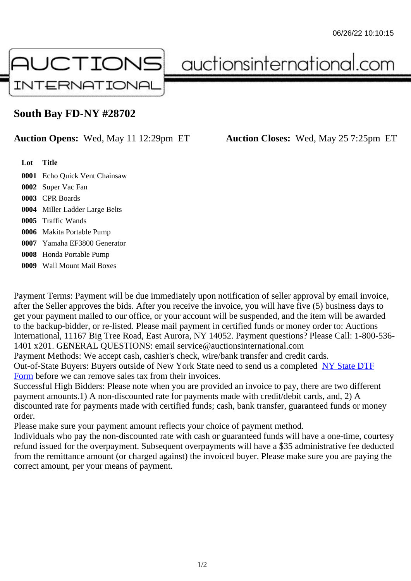## South Bay FD-NY #28702

## Auction Opens: Wed, May 11 12:29pm ET Auction Closes: Wed, May 25 7:25pm ET

Lot Title

- 0001 Echo Quick Vent Chainsaw
- 0002 Super Vac Fan
- 0003 CPR Boards
- 0004 Miller Ladder Large Belts
- 0005 Traffic Wands
- 0006 Makita Portable Pump
- 0007 Yamaha EF3800 Generator
- 0008 Honda Portable Pump
- 0009 Wall Mount Mail Boxes

Payment Terms: Payment will be due immediately upon notification of seller approval by email invoice, after the Seller approves the bids. After you receive the invoice, you will have five (5) business days to get your payment mailed to our office, or your account will be suspended, and the item will be awarded to the backup-bidder, or re-listed. Please mail payment in certified funds or money order to: Auctions International, 11167 Big Tree Road, East Aurora, NY 14052. Payment questions? Please Call: 1-800-53 1401 x201. GENERAL QUESTIONS: email service@auctionsinternational.com

Payment Methods: We accept cash, cashier's check, wire/bank transfer and credit cards.

Out-of-State Buyers: Buyers outside of New York State need to send us a complered to TTF Form before we can remove sales tax from their invoices.

Successful High Bidders: Please note when you are provided an invoice to pay, there are two different payment amounts.1) A non-discounted rate for payments made with credit/de[bit cards, and](https://www.auctionsinternational.com/auxiliary/downloads/DTF_Form/dtf_fill_in.pdf), 2) A [disco](https://www.auctionsinternational.com/auxiliary/downloads/DTF_Form/dtf_fill_in.pdf)unted rate for payments made with certified funds; cash, bank transfer, guaranteed funds or mone order.

Please make sure your payment amount reflects your choice of payment method.

Individuals who pay the non-discounted rate with cash or guaranteed funds will have a one-time, courte refund issued for the overpayment. Subsequent overpayments will have a \$35 administrative fee deduc from the remittance amount (or charged against) the invoiced buyer. Please make sure you are paying correct amount, per your means of payment.